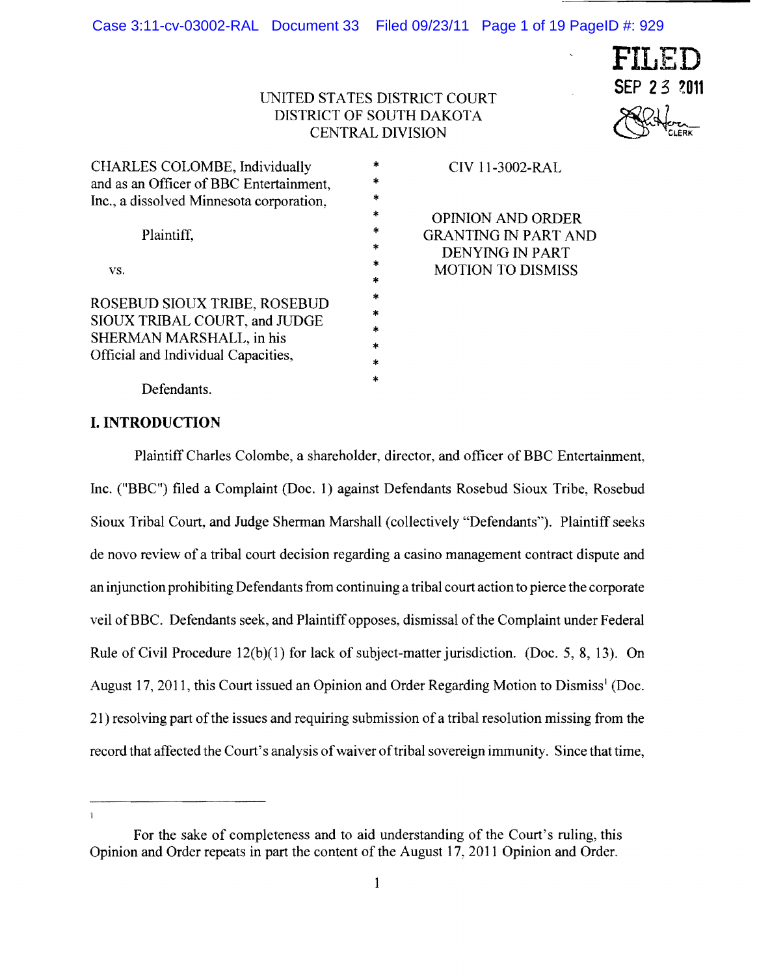

# UNITED STATES DISTRICT COURT **SEP 23 2011** DISTRICT OF SOUTH DAKOTA CENTRAL DIVISION

| CHARLES COLOMBE, Individually<br>and as an Officer of BBC Entertainment,<br>Inc., a dissolved Minnesota corporation,             | ×      |
|----------------------------------------------------------------------------------------------------------------------------------|--------|
|                                                                                                                                  | sk.    |
|                                                                                                                                  | 米      |
|                                                                                                                                  | 水      |
| Plaintiff,                                                                                                                       | sk.    |
|                                                                                                                                  | *      |
| VS.                                                                                                                              | *      |
|                                                                                                                                  | $\ast$ |
| ROSEBUD SIOUX TRIBE, ROSEBUD<br>SIOUX TRIBAL COURT, and JUDGE<br>SHERMAN MARSHALL, in his<br>Official and Individual Capacities, | 水      |
|                                                                                                                                  | *      |
|                                                                                                                                  | ×      |
|                                                                                                                                  | $\ast$ |
|                                                                                                                                  | $\ast$ |
|                                                                                                                                  | *      |

CIV 11-3002-RAL

OPINION AND ORDER GRANTING IN PART AND DENYING IN PART MOTION TO DISMISS

Defendants.

## **I. INTRODUCTION**

Plaintiff Charles Colombe, a shareholder, director, and officer of BBC Entertainment, Inc. ("BBC") filed a Complaint (Doc. 1) against Defendants Rosebud Sioux Tribe, Rosebud Sioux Tribal Court, and Judge Sherman Marshall (collectively "Defendants"). Plaintiff seeks de novo review of a tribal court decision regarding a casino management contract dispute and an injunction prohibiting Defendants from continuing a tribal court action to pierce the corporate veil ofBBC. Defendants seek, and Plaintiff opposes, dismissal ofthe Complaint under Federal Rule of Civil Procedure 12(b)(1) for lack of subject-matter jurisdiction. (Doc. 5, 8, 13). On August 17, 2011, this Court issued an Opinion and Order Regarding Motion to Dismiss<sup>1</sup> (Doc. 21) resolving part of the issues and requiring submission of a tribal resolution missing from the record that affected the Court's analysis of waiver of tribal sovereign immunity. Since that time,

 $\mathbf{I}$ 

For the sake of completeness and to aid understanding of the Court's ruling, this Opinion and Order repeats in part the content of the August 17,2011 Opinion and Order.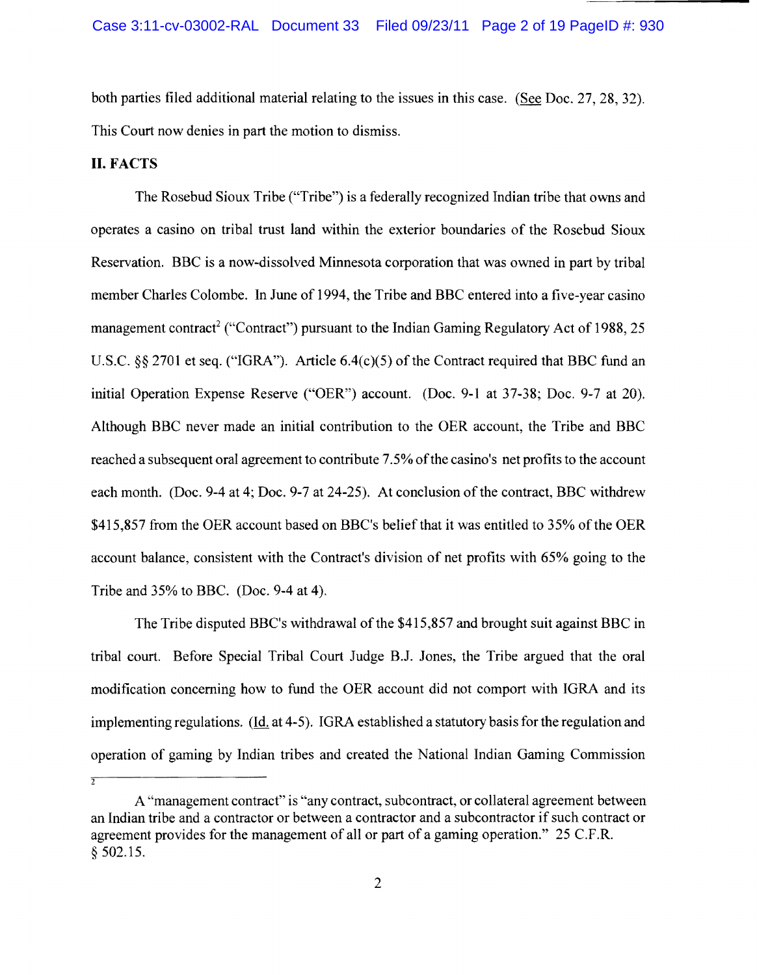both parties filed additional material relating to the issues in this case. (See Doc. 27, 28, 32). This Court now denies in part the motion to dismiss.

#### **II. FACTS**

 $\overline{2}$ 

The Rosebud Sioux Tribe ("Tribe") is a federally recognized Indian tribe that owns and operates a casino on tribal trust land within the exterior boundaries of the Rosebud Sioux Reservation. BBC is a now-dissolved Minnesota corporation that was owned in part by tribal member Charles Colombe. In June of 1994, the Tribe and BBC entered into a five-year casino management contract<sup>2</sup> ("Contract") pursuant to the Indian Gaming Regulatory Act of 1988, 25 U.S.C.  $\S$  2701 et seq. ("IGRA"). Article 6.4(c)(5) of the Contract required that BBC fund an initial Operation Expense Reserve ("OER") account. (Doc. 9-1 at 37-38; Doc. 9-7 at 20). Although BBC never made an initial contribution to the OER account, the Tribe and BBC reached a subsequent oral agreement to contribute 7.5% ofthe casino's net profits to the account each month. (Doc. 9-4 at 4; Doc. 9-7 at 24-25). At conclusion of the contract, BBC withdrew \$415,857 from the OER account based on BBC's belief that it was entitled to 35% ofthe OER account balance, consistent with the Contract's division of net profits with 65% going to the Tribe and 35% to BBC. (Doc. 9-4 at 4).

The Tribe disputed BBC's withdrawal of the \$415,857 and brought suit against BBC in tribal court. Before Special Tribal Court Judge B.J. Jones, the Tribe argued that the oral modification concerning how to fund the OER account did not comport with IGRA and its implementing regulations. (ld. at 4-5). IGRA established a statutory basis for the regulation and operation of gaming by Indian tribes and created the National Indian Gaming Commission

A "management contract" is "any contract, subcontract, or collateral agreement between an Indian tribe and a contractor or between a contractor and a subcontractor if such contract or agreement provides for the management of all or part of a gaming operation." 25 C.F.R. § 502.15.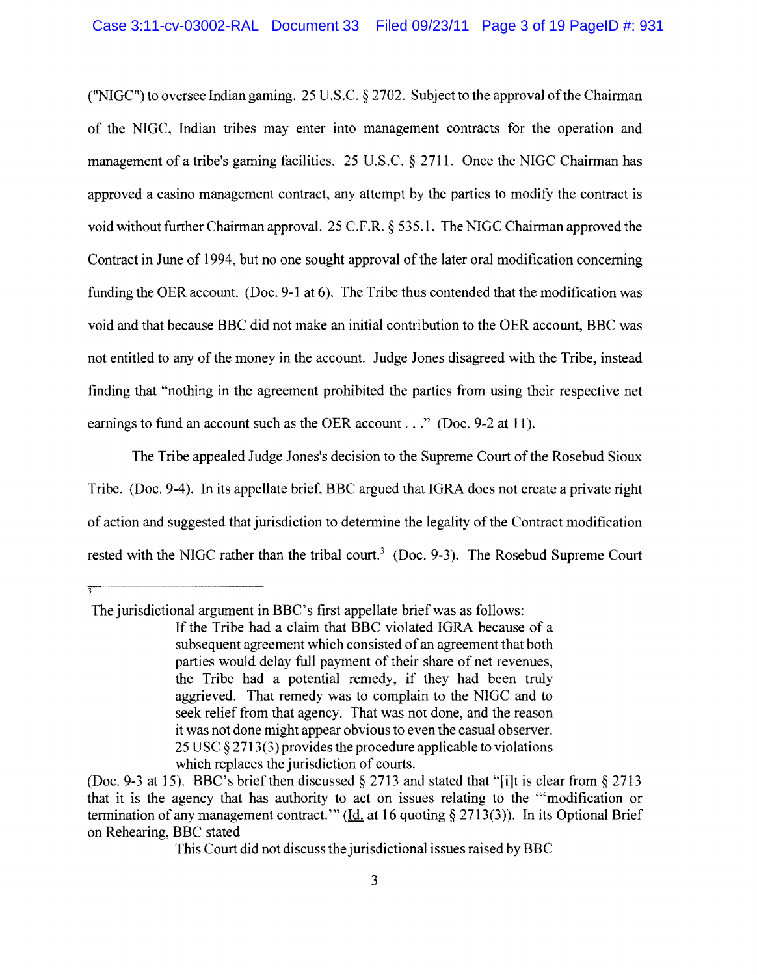("NIGC") to oversee Indian gaming. 25 U.S.C.  $\S 2702$ . Subject to the approval of the Chairman of the NIGC, Indian tribes may enter into management contracts for the operation and management of a tribe's gaming facilities. 25 U.S.C. § 2711. Once the NIGC Chairman has approved a casino management contract, any attempt by the parties to modify the contract is void without further Chairman approval. 25 C.F.R.  $\S$  535.1. The NIGC Chairman approved the Contract in June of 1994, but no one sought approval of the later oral modification concerning funding the OER account. (Doc. 9-1 at 6). The Tribe thus contended that the modification was void and that because BBC did not make an initial contribution to the OER account, BBC was not entitled to any of the money in the account. Judge Jones disagreed with the Tribe, instead finding that "nothing in the agreement prohibited the parties from using their respective net earnings to fund an account such as the OER account . . ." (Doc. 9-2 at 11).

The Tribe appealed Judge Jones's decision to the Supreme Court of the Rosebud Sioux Tribe. (Doc. 9-4). In its appellate brief, BBC argued that IGRA does not create a private right of action and suggested that jurisdiction to detennine the legality of the Contract modification rested with the NIGC rather than the tribal court.<sup>3</sup> (Doc. 9-3). The Rosebud Supreme Court

The jurisdictional argument in BBC's first appellate brief was as follows:

This Court did not discuss the jurisdictional issues raised by BBC

If the Tribe had a claim that BBC violated IGRA because of a subsequent agreement which consisted of an agreement that both parties would delay full payment of their share of net revenues, the Tribe had a potential remedy, if they had been truly aggrieved. That remedy was to complain to the NIGC and to seek relief from that agency. That was not done, and the reason it was not done might appear obvious to even the casual observer. 25 USC § 2713(3) provides the procedure applicable to violations which replaces the jurisdiction of courts.

<sup>(</sup>Doc. 9-3 at 15). BBC's brief then discussed § 2713 and stated that "[i]t is clear from § 2713 that it is the agency that has authority to act on issues relating to the '''modification or termination of any management contract." (Id. at 16 quoting  $\S 2713(3)$ ). In its Optional Brief on Rehearing, BBC stated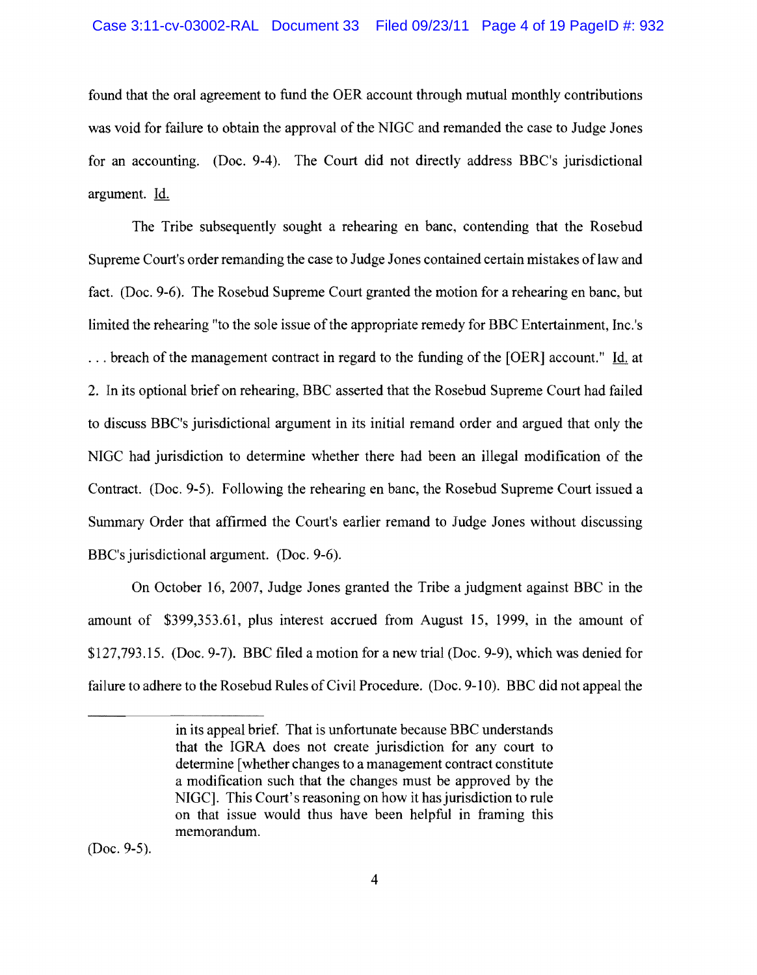found that the oral agreement to fund the OER account through mutual monthly contributions was void for failure to obtain the approval of the NIGC and remanded the case to Judge Jones for an accounting. (Doc. 9-4). The Court did not directly address BBC's jurisdictional argument. Id.

The Tribe subsequently sought a rehearing en banc, contending that the Rosebud Supreme Court's order remanding the case to Judge Jones contained certain mistakes oflaw and fact. (Doc. 9-6). The Rosebud Supreme Court granted the motion for a rehearing en bane, but limited the rehearing "to the sole issue of the appropriate remedy for BBC Entertainment, Inc.'s ... breach of the management contract in regard to the funding of the [OER] account." Id. at 2. In its optional brief on rehearing, BBC asserted that the Rosebud Supreme Court had failed to discuss BBC's jurisdictional argument in its initial remand order and argued that only the NIGC had jurisdiction to determine whether there had been an illegal modification of the Contract. (Doc. 9-5). Following the rehearing en banc, the Rosebud Supreme Court issued a Summary Order that affirmed the Court's earlier remand to Judge Jones without discussing BBC's jurisdictional argument. (Doc. 9-6).

On October 16, 2007, Judge Jones granted the Tribe a judgment against BBC in the amount of \$399,353.61, plus interest accrued from August 15, 1999, in the amount of \$127,793.15. (Doc. 9-7). BBC filed a motion for a new trial (Doc. 9-9), which was denied for failure to adhere to the Rosebud Rules of Civil Procedure. (Doc. 9-10). BBC did not appeal the

(Doc. 9-5).

in its appeal brief. That is unfortunate because BBC understands that the IGRA does not create jurisdiction for any court to determine [whether changes to a management contract constitute a modification such that the changes must be approved by the NIGC]. This Court's reasoning on how it has jurisdiction to rule on that issue would thus have been helpful in framing this memorandum.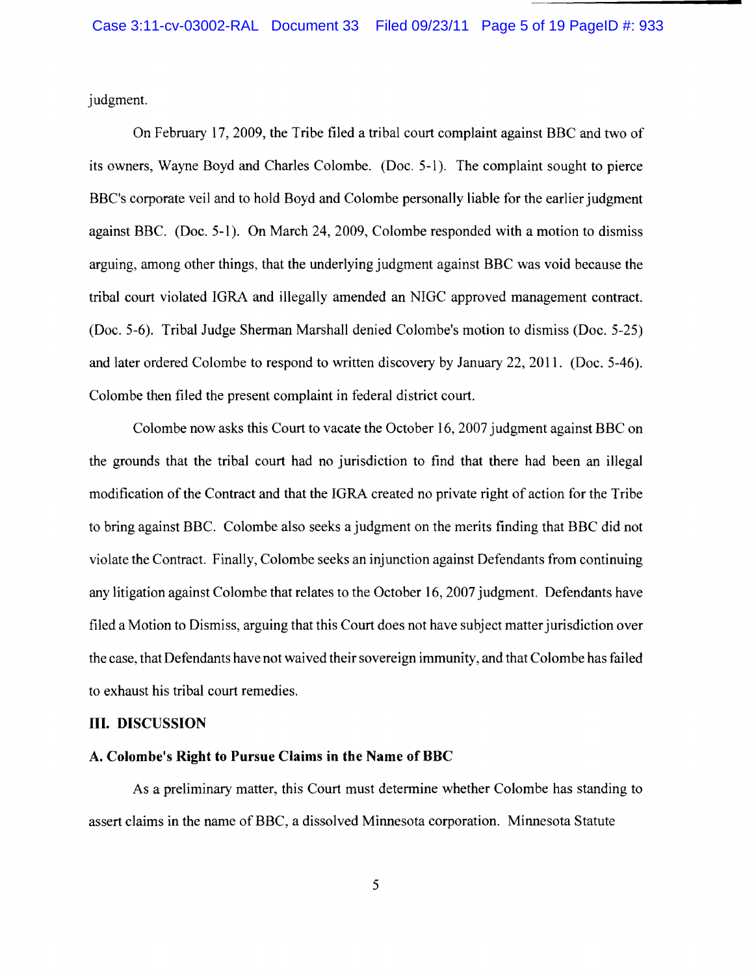judgment.

On February 17,2009, the Tribe filed a tribal court complaint against BBC and two of its owners, Wayne Boyd and Charles Colombe. (Doc. 5-1). The complaint sought to pierce BBC's corporate veil and to hold Boyd and Colombe personally liable for the earlier judgment against BBC. (Doc. 5-1). On March 24, 2009, Colombe responded with a motion to dismiss arguing, among other things, that the underlying judgment against BBC was void because the tribal court violated IGRA and illegally amended an NIGC approved management contract. (Doc. 5-6). Tribal Judge Sherman Marshall denied Colombe's motion to dismiss (Doc. 5-25) and later ordered Colombe to respond to written discovery by January 22,2011. (Doc. 5-46). Colombe then filed the present complaint in federal district court.

Colombe now asks this Court to vacate the October 16, 2007 judgment against BBC on the grounds that the tribal court had no jurisdiction to find that there had been an illegal modification of the Contract and that the IGRA created no private right of action for the Tribe to bring against BBC. Colombe also seeks a judgment on the merits finding that BBC did not violate the Contract. Finally, Colombe seeks an injunction against Defendants from continuing any litigation against Colombe that relates to the October 16, 2007 judgment. Defendants have filed a Motion to Dismiss, arguing that this Court does not have subject matter jurisdiction over the case, that Defendants have not waived their sovereign immunity, and that Colombe has failed to exhaust his tribal court remedies.

#### **III. DISCUSSION**

#### **A. Colombe's Right to Pursue Claims in the Name of BBC**

As a preliminary matter, this Court must determine whether Colombe has standing to assert claims in the name of BBC, a dissolved Minnesota corporation. Minnesota Statute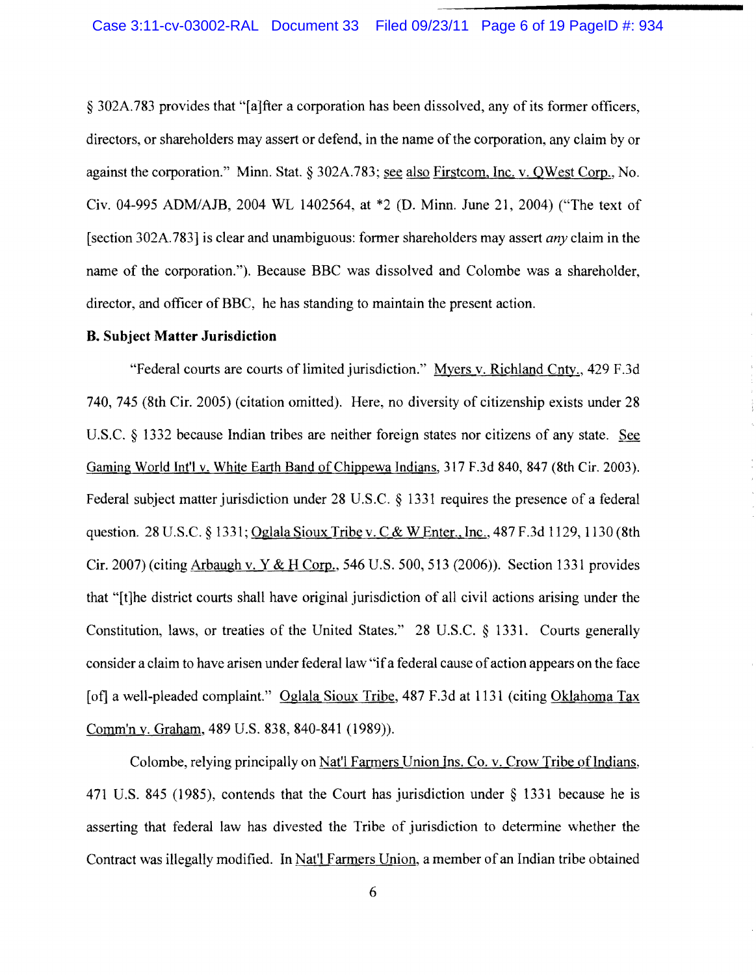§ 302A.783 provides that "[a]fter a corporation has been dissolved, any of its former officers, directors, or shareholders may assert or defend, in the name of the corporation, any claim by or against the corporation." Minn. Stat. § 302A.783; see also Firstcom, Inc. v. QWest Corp., No. Civ. 04-995 ADMIAJB, 2004 WL 1402564, at \*2 (D. Minn. June 21, 2004) ("The text of (section 302A.783] is clear and unambiguous: fonner shareholders may assert *any* claim in the name of the corporation."). Because BBC was dissolved and Colombe was a shareholder, director, and officer of BBC, he has standing to maintain the present action.

#### **B. Subject Matter Jurisdiction**

"Federal courts are courts of limited jurisdiction." Myers v. Richland Cnty., 429 F.3d 740, 745 (8th Cir. 2005) (citation omitted). Here, no diversity of citizenship exists under 28 U.S.C. § 1332 because Indian tribes are neither foreign states nor citizens of any state. See Gaming World Int'l v. White Earth Band of Chippewa Indians, 317 F.3d 840, 847 (8th Cir. 2003). Federal subject matter jurisdiction under 28 U.S.C. § 1331 requires the presence of a federal question. 28 U.S.C. § 1331; Oglala Sioux Tribe v. C & W Enter., Inc., 487 F.3d 1129, 1130 (8th Cir. 2007) (citing Arbaugh v. Y & H Corp., 546 U.S. 500, 513 (2006)). Section 1331 provides that "[t]he district courts shall have original jurisdiction of all civil actions arising under the Constitution, laws, or treaties of the United States." 28 U.S.C. § 1331. Courts generally consider a claim to have arisen under federal law "if a federal cause of action appears on the face [of] a well-pleaded complaint." Oglala Sioux Tribe, 487 F.3d at 1131 (citing Oklahoma Tax Comm'n v. Graham, 489 U.S. 838, 840-841 (1989».

Colombe, relying principally on Nat'l Farmers Union Ins. Co. v. Crow Tribe of Indians, 471 U.S. 845 (1985), contends that the Court has jurisdiction under § 1331 because he is asserting that federal law has divested the Tribe of jurisdiction to detennine whether the Contract was illegally modified. In Nat'l Farmers Union, a member of an Indian tribe obtained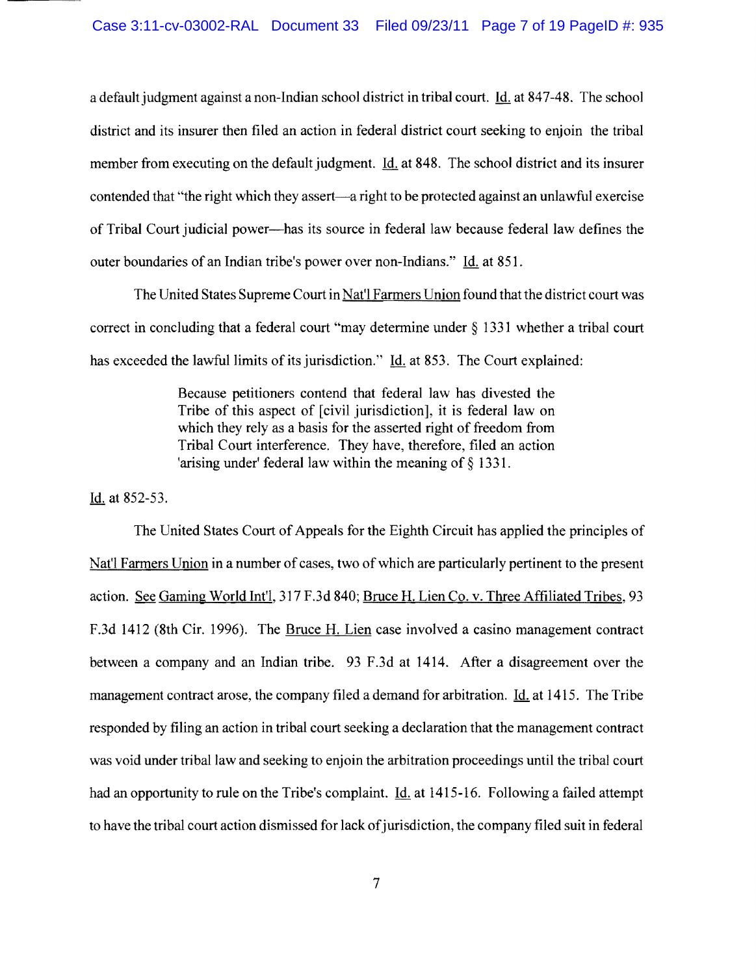a default judgment against a non-Indian school district in tribal court. Id. at 847-48. The school district and its insurer then filed an action in federal district court seeking to enjoin the tribal member from executing on the default judgment. Id. at 848. The school district and its insurer contended that "the right which they assert—a right to be protected against an unlawful exercise of Tribal Court judicial power-has its source in federal law because federal law defines the outer boundaries of an Indian tribe's power over non-Indians." Id. at 851.

The United States Supreme Court in Nat'l Farmers Union found that the district court was correct in concluding that a federal court "may determine under § 1331 whether a tribal court has exceeded the lawful limits of its jurisdiction." Id. at 853. The Court explained:

> Because petitioners contend that federal law has divested the Tribe of this aspect of [civil jurisdiction], it is federal law on which they rely as a basis for the asserted right of freedom from Tribal Court interference. They have, therefore, filed an action 'arising under' federal law within the meaning of  $\S$  1331.

Id. at 852-53.

The United States Court of Appeals for the Eighth Circuit has applied the principles of Nat'l Farmers Union in a number of cases, two of which are particularly pertinent to the present action. See Gaming World Int'l, 317 F.3d 840; Bruce H. Lien Co. v. Three Affiliated Tribes, 93 F.3d 1412 (8th Cir. 1996). The Bruce H. Lien case involved a casino management contract between a company and an Indian tribe. 93 F.3d at 1414. After a disagreement over the management contract arose, the company filed a demand for arbitration. Id. at 1415. The Tribe responded by filing an action in tribal court seeking a declaration that the management contract was void under tribal law and seeking to enjoin the arbitration proceedings until the tribal court had an opportunity to rule on the Tribe's complaint. **Id.** at 1415-16. Following a failed attempt to have the tribal court action dismissed for lack of jurisdiction, the company filed suit in federal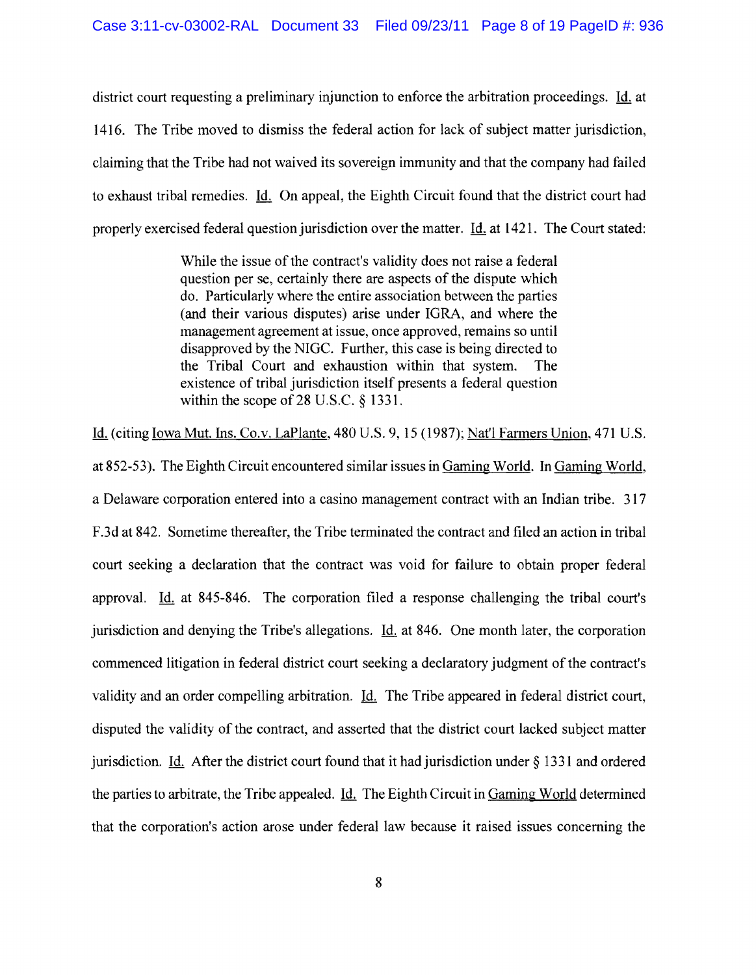district court requesting a preliminary injunction to enforce the arbitration proceedings. Id. at 1416. The Tribe moved to dismiss the federal action for lack of subject matter jurisdiction, claiming that the Tribe had not waived its sovereign immunity and that the company had failed to exhaust tribal remedies. Id. On appeal, the Eighth Circuit found that the district court had properly exercised federal question jurisdiction over the matter. Id. at 1421. The Court stated:

> While the issue of the contract's validity does not raise a federal question per se, certainly there are aspects of the dispute which do. Particularly where the entire association between the parties (and their various disputes) arise under IGRA, and where the management agreement at issue, once approved, remains so until disapproved by the NIGC. Further, this case is being directed to the Tribal Court and exhaustion within that system. The existence of tribal jurisdiction itself presents a federal question within the scope of 28 U.S.C. § 1331.

Id. (citing Iowa Mut. Ins. Co.v. LaPlante, 480 U.S. 9, 15 (1987); Nat'l Farmers Union, 471 U.S. at 852-53). The Eighth Circuit encountered similar issues in Gaming World. In Gaming World, a Delaware corporation entered into a casino management contract with an Indian tribe. 317 F.3d at 842. Sometime thereafter, the Tribe terminated the contract and filed an action in tribal court seeking a declaration that the contract was void for failure to obtain proper federal approval. Id. at 845-846. The corporation filed a response challenging the tribal court's jurisdiction and denying the Tribe's allegations. Id. at 846. One month later, the corporation commenced litigation in federal district court seeking a declaratory judgment of the contract's validity and an order compelling arbitration. Id. The Tribe appeared in federal district court, disputed the validity of the contract, and asserted that the district court lacked subject matter jurisdiction. Id. After the district court found that it had jurisdiction under  $\S$  1331 and ordered the parties to arbitrate, the Tribe appealed. Id. The Eighth Circuit in Gaming World determined that the corporation's action arose under federal law because it raised issues concerning the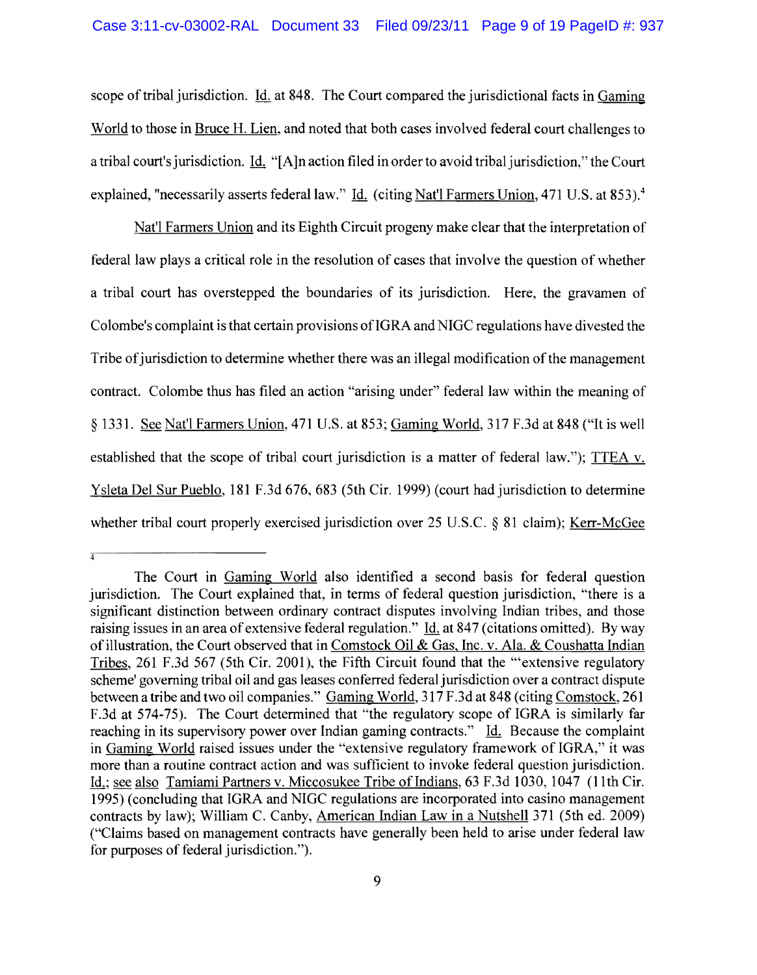scope of tribal jurisdiction.  $\underline{Id}$  at 848. The Court compared the jurisdictional facts in Gaming World to those in Bruce H. Lien, and noted that both cases involved federal court challenges to a tribal court's jurisdiction. Id. "[A]n action filed in order to avoid tribal jurisdiction," the Court explained, "necessarily asserts federal law." Id. (citing Nat'l Farmers Union, 471 U.S. at 853).<sup>4</sup>

Nat'l Farmers Union and its Eighth Circuit progeny make clear that the interpretation of federal law plays a critical role in the resolution of cases that involve the question of whether a tribal court has overstepped the boundaries of its jurisdiction. Here, the gravamen of Colombe's complaint is that certain provisions of IGRA and NIGC regulations have divested the Tribe of jurisdiction to determine whether there was an illegal modification of the management contract. Colombe thus has filed an action "arising under" federal law within the meaning of § 1331. See Nat'l Farmers Union, 471 U.S. at 853; Gaming World, 317 F.3d at 848 ("It is well established that the scope of tribal court jurisdiction is a matter of federal law."); TTEA v. Y sleta Del Sur Pueblo, 181 F.3d 676, 683 (5th Cir. 1999) (court had jurisdiction to determine whether tribal court properly exercised jurisdiction over 25 U.S.C. § 81 claim); Kerr-McGee

 $\overline{A}$ 

The Court in Gaming World also identified a second basis for federal question jurisdiction. The Court explained that, in terms of federal question jurisdiction, "there is a significant distinction between ordinary contract disputes involving Indian tribes, and those raising issues in an area of extensive federal regulation." Id. at 847 (citations omitted). By way of illustration, the Court observed that in Comstock Oil & Gas, Inc. v. Ala. & Coushatta Indian Tribes, 261 F.3d 567 (5th Cir. 2001), the Fifth Circuit found that the "'extensive regulatory scheme' governing tribal oil and gas leases conferred federal jurisdiction over a contract dispute between a tribe and two oil companies." Gaming World, 317 F .3d at 848 (citing Comstock, 261 F .3d at 574-75). The Court determined that "the regulatory scope of IGRA is similarly far reaching in its supervisory power over Indian gaming contracts." Id. Because the complaint in Gaming World raised issues under the "extensive regulatory framework of IGRA," it was more than a routine contract action and was sufficient to invoke federal question jurisdiction. Id.; see also Tamiami Partners v. Miccosukee Tribe of Indians, 63 F.3d 1030, 1047 (11th Cir. 1995) (concluding that IGRA and NIGC regulations are incorporated into casino management contracts by law); William C. Canby, American Indian Law in a Nutshell 371 (5th ed. 2009) ("Claims based on management contracts have generally been held to arise under federal law for purposes of federal jurisdiction.").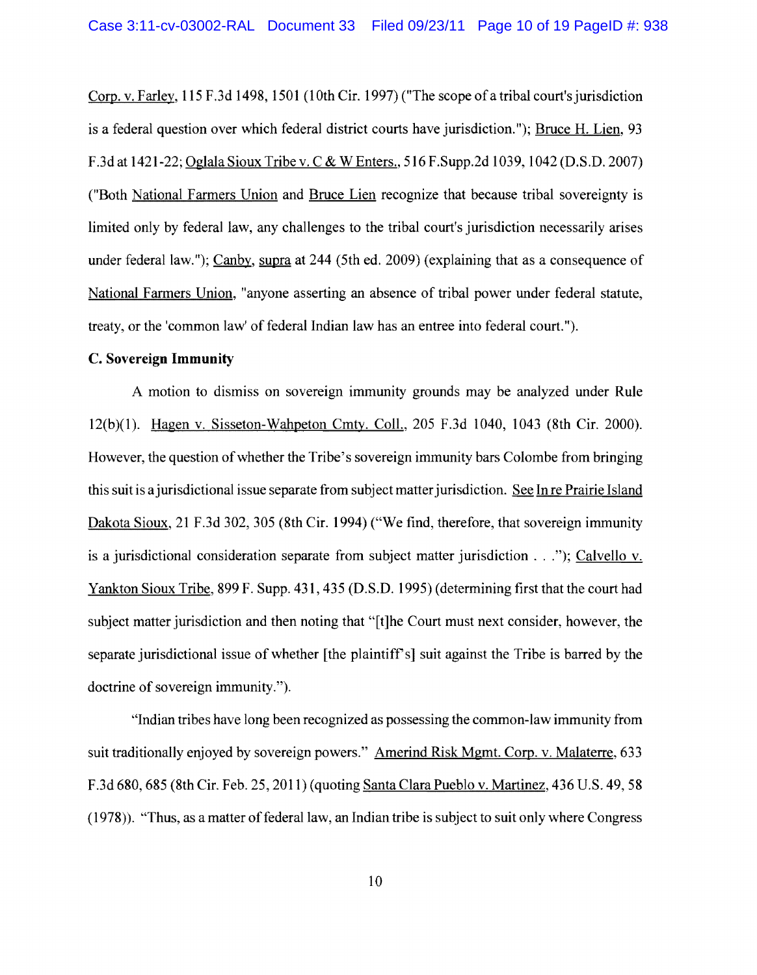Corp. v. Farley, 115 F.3d 1498, 1501 (10th Cir. 1997) ("The scope of a tribal court's jurisdiction is a federal question over which federal district courts have jurisdiction. "); Bruce H. Lien, 93 F.3d at 1421-22; Oglala Sioux Tribe v. C & W Enters., 516 F. Supp. 2d 1039, 1042 (D.S.D. 2007) ("Both National Farmers Union and Bruce Lien recognize that because tribal sovereignty is limited only by federal law, any challenges to the tribal court's jurisdiction necessarily arises under federal law."); Canby, supra at 244 (5th ed. 2009) (explaining that as a consequence of National Farmers Union, "anyone asserting an absence of tribal power under federal statute, treaty, or the 'common law' of federal Indian law has an entree into federal court.").

#### C. **Sovereign Immunity**

A motion to dismiss on sovereign immunity grounds may be analyzed under Rule 12(b)(1). Hagen v. Sisseton-Wahpeton Cmty. Coll., 205 F.3d 1040, 1043 (8th Cir. 2000). However, the question of whether the Tribe's sovereign immunity bars Colombe from bringing this suit is ajurisdictional issue separate from subject matter jurisdiction. See In re Prairie Island Dakota Sioux, 21 F.3d 302, 305 (8th Cir. 1994) ("We find, therefore, that sovereign immunity is a jurisdictional consideration separate from subject matter jurisdiction ..."); Calvello v. Yankton Sioux Tribe, 899 F. Supp. 431, 435 (D.S.D. 1995) (determining first that the court had subject matter jurisdiction and then noting that "[t]he Court must next consider, however, the separate jurisdictional issue of whether [the plaintiff's] suit against the Tribe is barred by the doctrine of sovereign immunity.").

"Indian tribes have long been recognized as possessing the common-law immunity from suit traditionally enjoyed by sovereign powers." Amerind Risk Mgmt. Corp. v. Malaterre, 633 F.3d 680, 685 (8th Cir. Feb. 25, 2011) (quoting Santa Clara Pueblo v. Martinez, 436 U.S. 49, 58  $(1978)$ . "Thus, as a matter of federal law, an Indian tribe is subject to suit only where Congress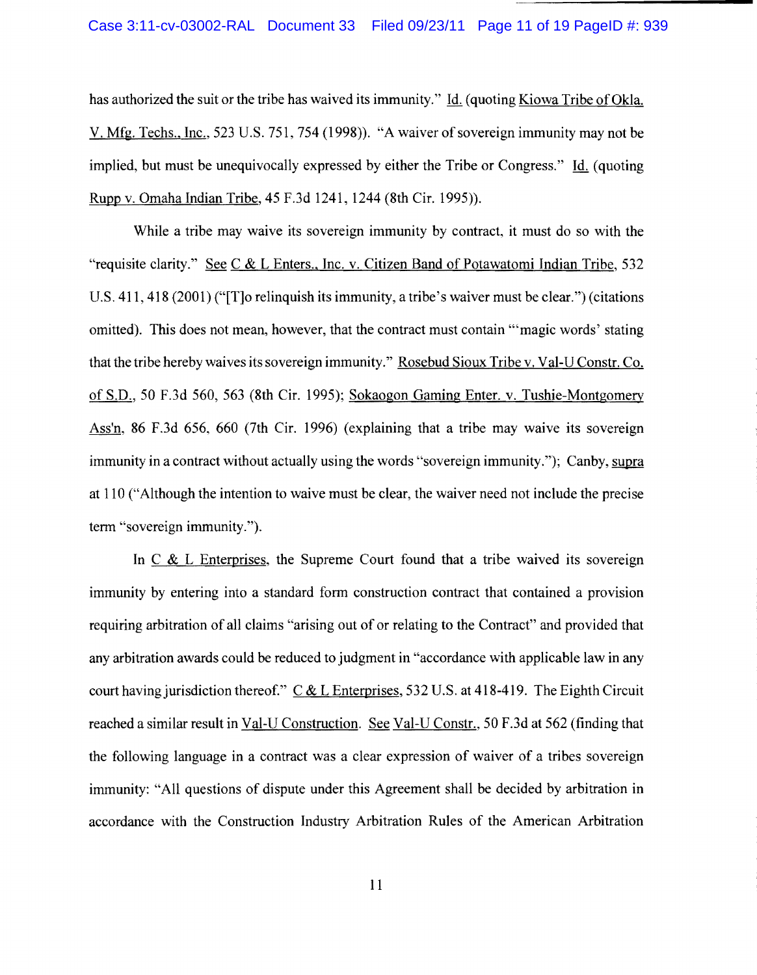has authorized the suit or the tribe has waived its immunity." Id. (quoting Kiowa Tribe of Okla. V. Mfg. Techs., Inc., 523 U.S. 751, 754 (1998)). "A waiver of sovereign immunity may not be implied, but must be unequivocally expressed by either the Tribe or Congress." Id. (quoting Rupp v. Omaha Indian Tribe, 45 F.3d 1241, 1244 (8th Cir. 1995)).

While a tribe may waive its sovereign immunity by contract, it must do so with the "requisite clarity." See C & L Enters., Inc. v. Citizen Band of Potawatomi Indian Tribe, 532 U.S. 411, 418 (2001) ("[T]o relinquish its immunity, a tribe's waiver must be clear. ") (citations omitted). This does not mean, however, that the contract must contain '''magic words' stating that the tribe hereby waives its sovereign immunity." Rosebud Sioux Tribe v. Val-U Constr. Co. of S.D., 50 F.3d 560, 563 (8th Cir. 1995); Sokaogon Gaming Enter. v. Tushie-Montgomery Ass'n, 86 F.3d 656, 660 (7th Cir. 1996) (explaining that a tribe may waive its sovereign immunity in a contract without actually using the words "sovereign immunity."); Canby, supra at 110 ("Although the intention to waive must be clear, the waiver need not include the precise term "sovereign immunity.").

In  $C & L$  Enterprises, the Supreme Court found that a tribe waived its sovereign immunity by entering into a standard form construction contract that contained a provision requiring arbitration of all claims "arising out of or relating to the Contract" and provided that any arbitration awards could be reduced to judgment in "accordance with applicable law in any court having jurisdiction thereof."  $C & L$  Enterprises, 532 U.S. at 418-419. The Eighth Circuit reached a similar result in Val-U Construction. See Val-U Constr., 50 F.3d at 562 (finding that the following language in a contract was a clear expression of waiver of a tribes sovereign immunity: "All questions of dispute under this Agreement shall be decided by arbitration in accordance with the Construction Industry Arbitration Rules of the American Arbitration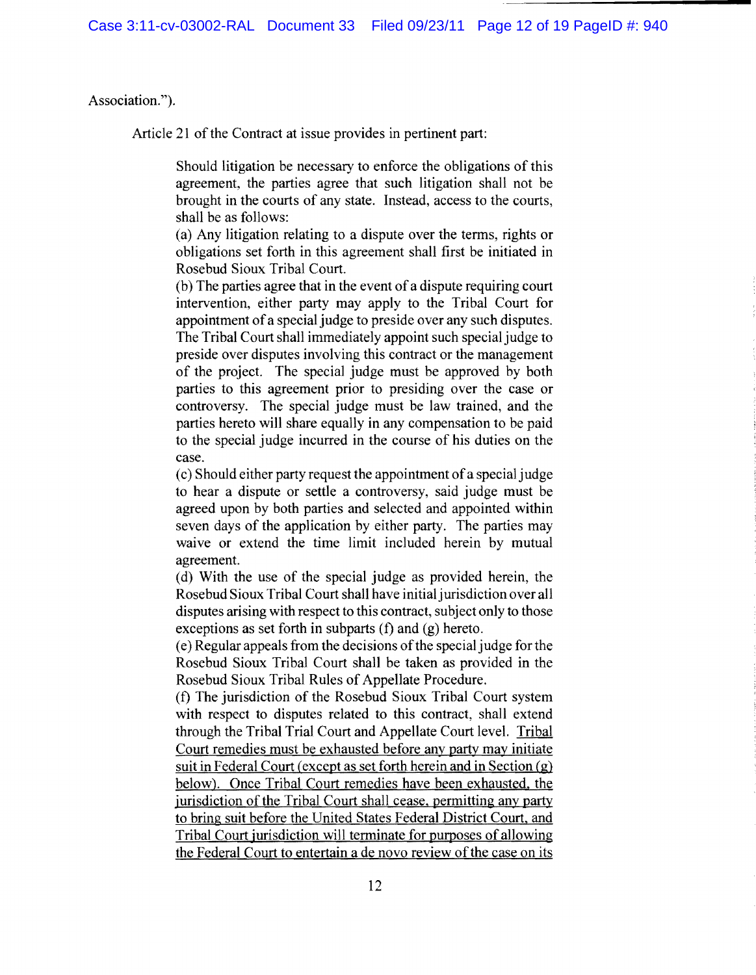### Association.").

Article 21 of the Contract at issue provides in pertinent part:

Should litigation be necessary to enforce the obligations of this agreement, the parties agree that such litigation shall not be brought in the courts of any state. Instead, access to the courts, shall be as follows:

(a) Any litigation relating to a dispute over the terms, rights or obligations set forth in this agreement shall first be initiated in Rosebud Sioux Tribal Court.

(b) The parties agree that in the event of a dispute requiring court intervention, either party may apply to the Tribal Court for appointment of a special judge to preside over any such disputes. The Tribal Court shall immediately appoint such special judge to preside over disputes involving this contract or the management of the project. The special judge must be approved by both parties to this agreement prior to presiding over the case or controversy. The special judge must be law trained, and the parties hereto will share equally in any compensation to be paid to the special judge incurred in the course of his duties on the case.

(c) Should either party request the appointment ofa special judge to hear a dispute or settle a controversy, said judge must be agreed upon by both parties and selected and appointed within seven days of the application by either party. The parties may waive or extend the time limit included herein by mutual agreement.

(d) With the use of the special judge as provided herein, the Rosebud Sioux Tribal Court shall have initial jurisdiction over all disputes arising with respect to this contract, subject only to those exceptions as set forth in subparts (f) and (g) hereto.

(e) Regular appeals from the decisions ofthe special judge for the Rosebud Sioux Tribal Court shall be taken as provided in the Rosebud Sioux Tribal Rules of Appellate Procedure.

(f) The jurisdiction of the Rosebud Sioux Tribal Court system with respect to disputes related to this contract, shall extend through the Tribal Trial Court and Appellate Court level. Tribal Court remedies must be exhausted before any party may initiate suit in Federal Court (except as set forth herein and in Section (g) below). Once Tribal Court remedies have been exhausted, the jurisdiction of the Tribal Court shall cease. permitting any party to bring suit before the United States Federal District Court. and Tribal Court jurisdiction will terminate for purposes of allowing the Federal Court to entertain a de novo review of the case on its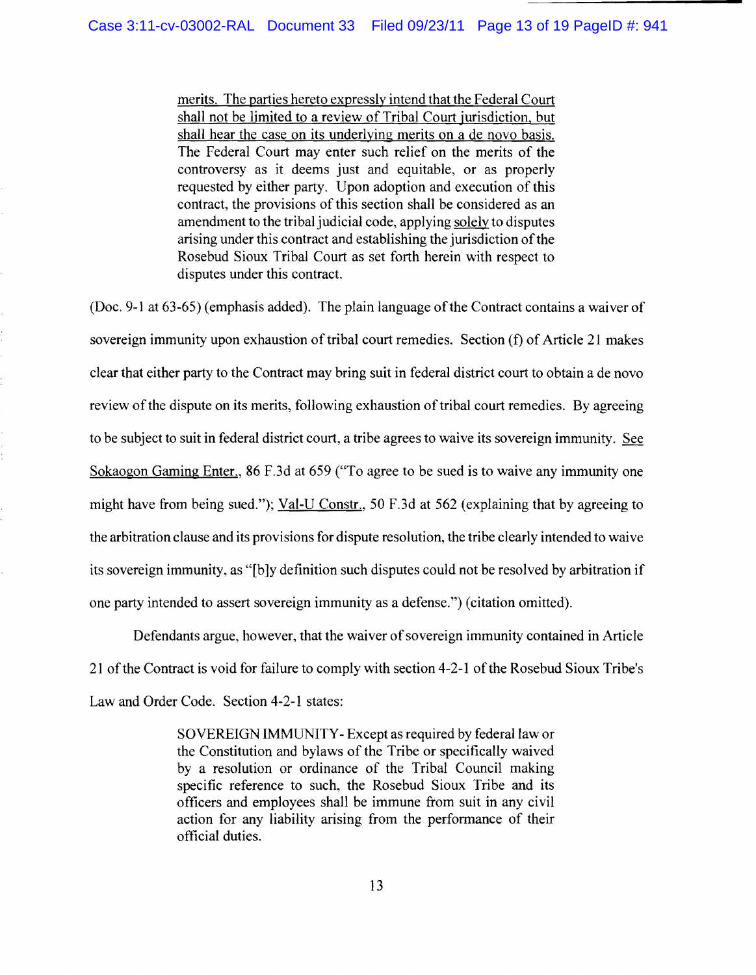merits. The parties hereto expressly intend that the Federal Court shall not be limited to a review of Tribal Court jurisdiction, but shall hear the case on its underlying merits on a de novo basis. The Federal Court may enter such relief on the merits of the controversy as it deems just and equitable, or as properly requested by either party. Upon adoption and execution of this contract, the provisions of this section shall be considered as an amendment to the tribal judicial code, applying solely to disputes arising under this contract and establishing the jurisdiction of the Rosebud Sioux Tribal Court as set forth herein with respect to disputes under this contract.

(Doc. 9-1 at  $63-65$ ) (emphasis added). The plain language of the Contract contains a waiver of sovereign immunity upon exhaustion of tribal court remedies. Section (f) of Article 21 makes clear that either party to the Contract may bring suit in federal district court to obtain a de novo review of the dispute on its merits, following exhaustion of tribal court remedies. By agreeing to be subject to suit in federal district court, a tribe agrees to waive its sovereign immunity. See Sokaogon Gaming Enter., 86 F.3d at 659 ("To agree to be sued is to waive any immunity one might have from being sued."); Val-U Constr., 50 F.3d at 562 (explaining that by agreeing to the arbitration clause and its provisions for dispute resolution, the tribe clearly intended to waive its sovereign immunity, as "[b]y definition such disputes could not be resolved by arbitration if one party intended to assert sovereign immunity as a defense.") (citation omitted).

Defendants argue, however, that the waiver of sovereign immunity contained in Article 21 ofthe Contract is void for failure to comply with section 4-2-1 of the Rosebud Sioux Tribe's Law and Order Code. Section 4-2-1 states:

> SOVEREIGN IMMUNITY-Except as required by federal law or the Constitution and bylaws of the Tribe or specifically waived by a resolution or ordinance of the Tribal Council making specific reference to such, the Rosebud Sioux Tribe and its officers and employees shall be immune from suit in any civil action for any liability arising from the performance of their official duties.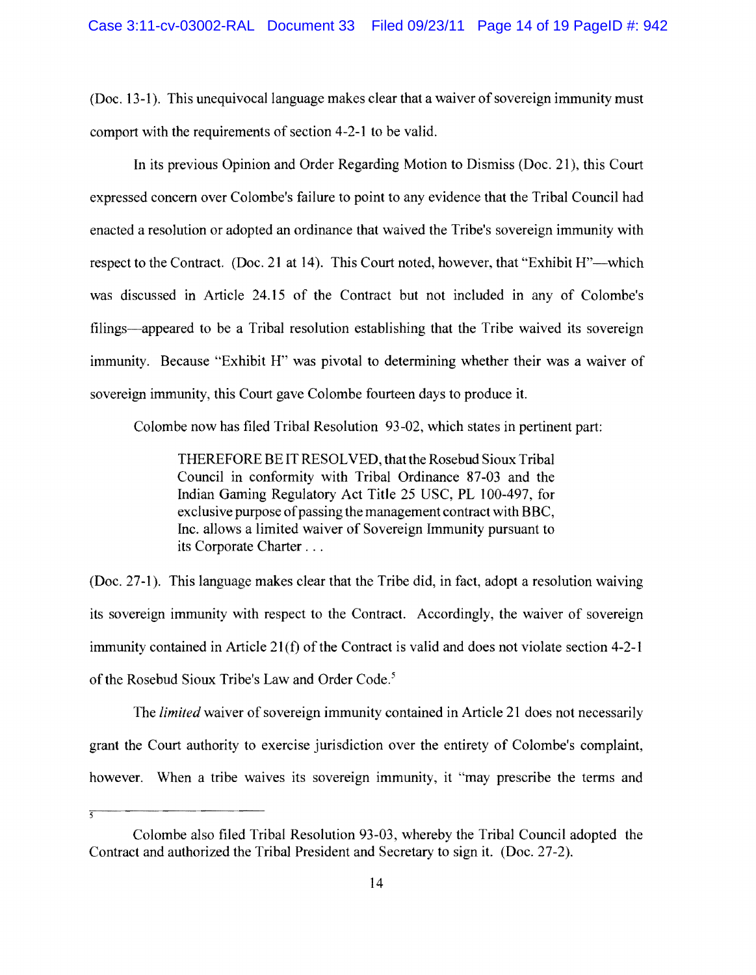(Doc. 13-1). This unequivocal language makes clear that a waiver of sovereign immunity must comport with the requirements of section 4-2-1 to be valid.

In its previous Opinion and Order Regarding Motion to Dismiss (Doc. 21), this Court expressed concern over Colombe's failure to point to any evidence that the Tribal Council had enacted a resolution or adopted an ordinance that waived the Tribe's sovereign immunity with respect to the Contract. (Doc. 21 at 14). This Court noted, however, that "Exhibit H"—which was discussed in Article 24.15 of the Contract but not included in any of Colombe's filings-appeared to be a Tribal resolution establishing that the Tribe waived its sovereign immunity. Because "Exhibit H" was pivotal to determining whether their was a waiver of sovereign immunity, this Court gave Colombe fourteen days to produce it.

Colombe now has filed Tribal Resolution 93-02, which states in pertinent part:

THEREFORE BE IT RESOLVED, that the Rosebud Sioux Tribal Council in conformity with Tribal Ordinance 87-03 and the Indian Gaming Regulatory Act Title 25 USC, PL 100-497, for exclusive purpose of passing the management contract with BBC, Inc. allows a limited waiver of Sovereign Immunity pursuant to its Corporate Charter ...

(Doc. 27-1). This language makes clear that the Tribe did, in fact, adopt a resolution waiving its sovereign immunity with respect to the Contract. Accordingly, the waiver of sovereign immunity contained in Article 21(1) of the Contract is valid and does not violate section 4-2-1 of the Rosebud Sioux Tribe's Law and Order Code. <sup>5</sup>

The *limited* waiver of sovereign immunity contained in Article 21 does not necessarily grant the Court authority to exercise jurisdiction over the entirety of Colombe's complaint, however. When a tribe waives its sovereign immunity, it "may prescribe the terms and  $\frac{1}{5}$ 

Colombe also filed Tribal Resolution 93-03, whereby the Tribal Council adopted the Contract and authorized the Tribal President and Secretary to sign it. (Doc. 27-2).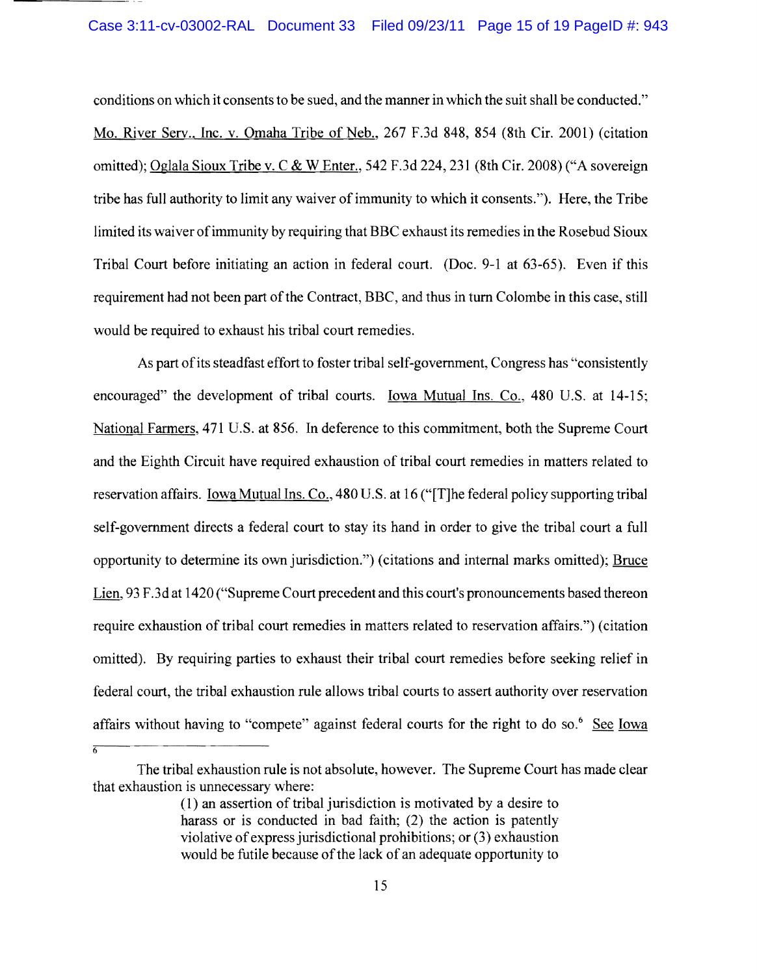conditions on which it consents to be sued, and the manner in which the suit shall be conducted." Mo. River Serv., Inc. v. Omaha Tribe of Neb., 267 F.3d 848, 854 (8th Cir. 2001) (citation omitted); Oglala Sioux Tribe v. C & W Enter., 542 F.3d 224,231 (8th Cir. 2008) ("A sovereign tribe has full authority to limit any waiver of immunity to which it consents."). Here, the Tribe limited its waiver ofimmunity by requiring that BBC exhaust its remedies in the Rosebud Sioux Tribal Court before initiating an action in federal court. (Doc. 9-1 at 63-65). Even if this requirement had not been part of the Contract, BBC, and thus in turn Colombe in this case, still would be required to exhaust his tribal court remedies.

As part of its steadfast effort to foster tribal self-government, Congress has "consistently" encouraged" the development of tribal courts. Iowa Mutual Ins. Co., 480 U.S. at 14-15; National Farmers, 471 U.S. at 856. In deference to this commitment, both the Supreme Court and the Eighth Circuit have required exhaustion of tribal court remedies in matters related to reservation affairs. Iowa Mutual Ins. Co., 480 U.S. at 16 ("[T]he federal policy supporting tribal self-government directs a federal court to stay its hand in order to give the tribal court a full opportunity to determine its own jurisdiction.") (citations and internal marks omitted); Bruce Lien, 93 F.3d at 1420 ("Supreme Court precedent and this court's pronouncements based thereon require exhaustion of tribal court remedies in matters related to reservation affairs.") (citation omitted). By requiring parties to exhaust their tribal court remedies before seeking relief in federal court, the tribal exhaustion rule allows tribal courts to assert authority over reservation affairs without having to "compete" against federal courts for the right to do so.<sup>6</sup> See Iowa

6

The tribal exhaustion rule is not absolute, however. The Supreme Court has made clear that exhaustion is unnecessary where:

<sup>(1)</sup> an assertion of tribal jurisdiction is motivated by a desire to harass or is conducted in bad faith; (2) the action is patently violative ofexpress jurisdictional prohibitions; or (3) exhaustion would be futile because of the lack of an adequate opportunity to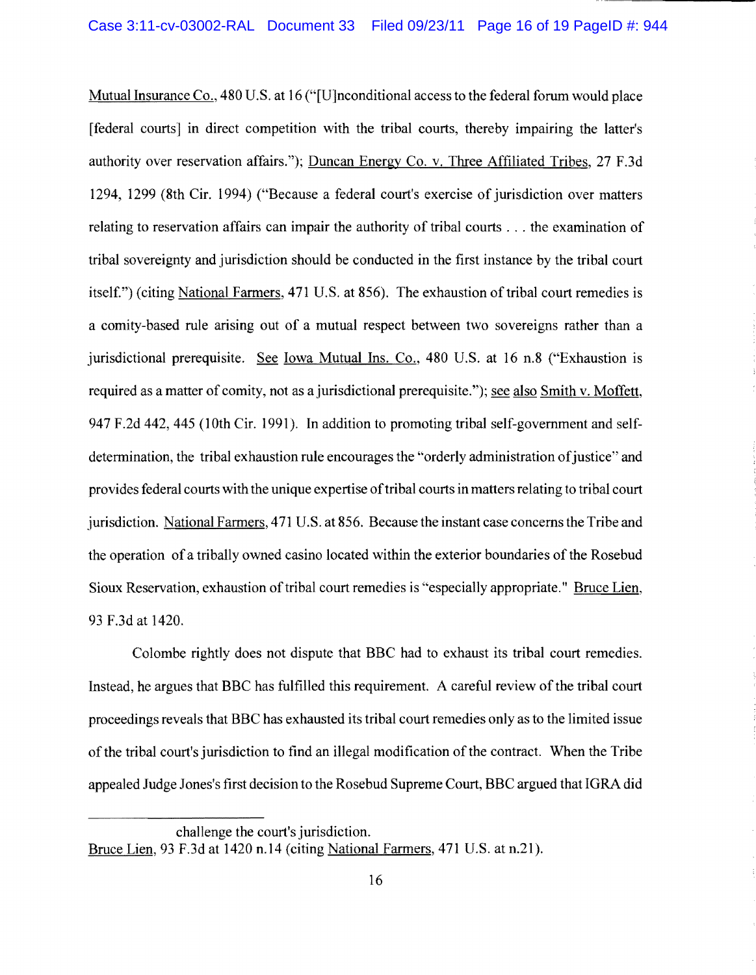Mutual Insurance Co., 480 U.S. at 16 ("[U]nconditional access to the federal forum would place [federal courts] in direct competition with the tribal courts, thereby impairing the latter's authority over reservation affairs."); Duncan Energy Co. v. Thee Affiliated Tribes, 27 F.3d 1294, 1299 (8th Cir. 1994) ("Because a federal court's exercise of jurisdiction over matters relating to reservation affairs can impair the authority of tribal courts ... the examination of tribal sovereignty and jurisdiction should be conducted in the first instance by the tribal court itself.") (citing National Farmers, 471 U.S. at 856). The exhaustion of tribal court remedies is a comity-based rule arising out of a mutual respect between two sovereigns rather than a jurisdictional prerequisite. See Iowa Mutual Ins. Co., 480 U.S. at 16 n.8 ("Exhaustion is required as a matter of comity, not as a jurisdictional prerequisite."); see also Smith v. Moffett, 947 F.2d 442, 445 (10th Cir. 1991). In addition to promoting tribal self-government and selfdetermination, the tribal exhaustion rule encourages the "orderly administration of justice" and provides federal courts with the unique expertise oftribal courts in matters relating to tribal court jurisdiction. National Farmers, 471 U.S. at 856. Because the instant case concerns the Tribe and the operation of a tribally owned casino located within the exterior boundaries of the Rosebud Sioux Reservation, exhaustion of tribal court remedies is "especially appropriate." Bruce Lien, 93 F.3d at 1420.

Colombe rightly does not dispute that BBC had to exhaust its tribal court remedies. Instead, he argues that BBC has fulfilled this requirement. A careful review of the tribal court proceedings reveals that BBC has exhausted its tribal court remedies only as to the limited issue of the tribal court's jurisdiction to find an illegal modification of the contract. When the Tribe appealed Judge Jones's first decision to the Rosebud Supreme Court, BBC argued that IGRA did

challenge the court's jurisdiction. Bruce Lien, 93 F.3d at 1420 n.l4 (citing National Farmers, 471 U.S. at n.21).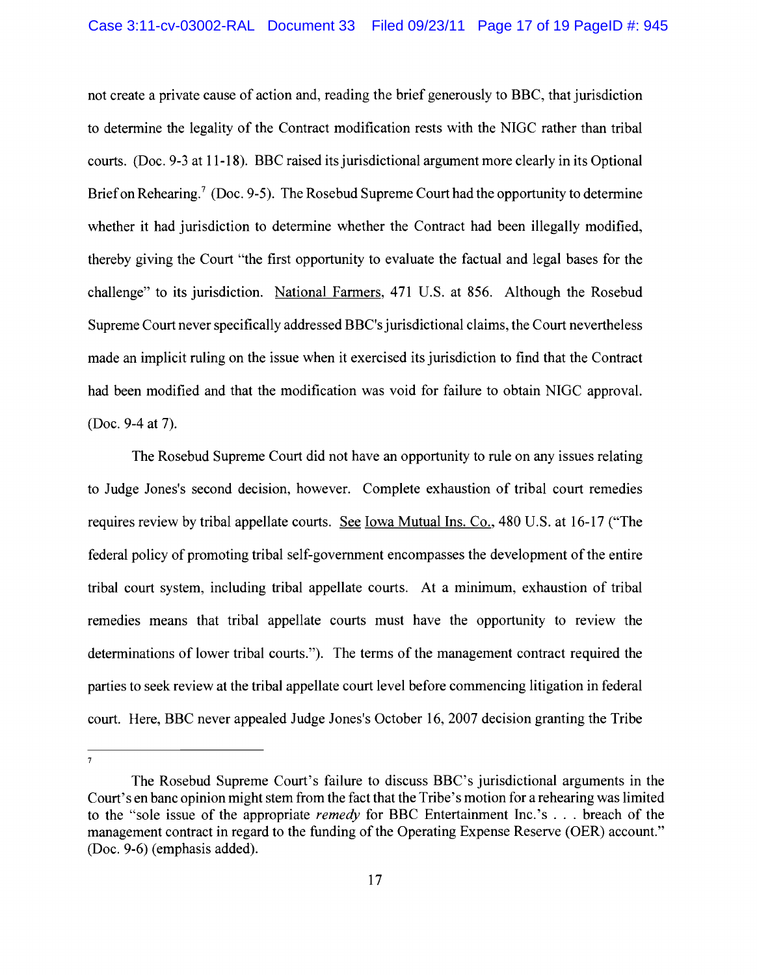not create a private cause of action and, reading the brief generously to BBC, that jurisdiction to determine the legality of the Contract modification rests with the NIGC rather than tribal courts. (Doc. 9-3 at 11-18). BBC raised its jurisdictional argument more clearly in its Optional Brief on Rehearing.<sup>7</sup> (Doc. 9-5). The Rosebud Supreme Court had the opportunity to determine whether it had jurisdiction to determine whether the Contract had been illegally modified, thereby giving the Court "the first opportunity to evaluate the factual and legal bases for the challenge" to its jurisdiction. National Farmers, 471 U.S. at 856. Although the Rosebud Supreme Court never specifically addressed BBC's jurisdictional claims, the Court nevertheless made an implicit ruling on the issue when it exercised its jurisdiction to find that the Contract had been modified and that the modification was void for failure to obtain NIGC approval. (Doc. 9-4 at 7).

The Rosebud Supreme Court did not have an opportunity to rule on any issues relating to Judge Jones's second decision, however. Complete exhaustion of tribal court remedies requires review by tribal appellate courts. See Iowa Mutual Ins. Co., 480 U.S. at 16-17 ("The federal policy of promoting tribal self-government encompasses the development of the entire tribal court system, including tribal appellate courts. At a minimum, exhaustion of tribal remedies means that tribal appellate courts must have the opportunity to review the determinations of lower tribal courts."). The terms of the management contract required the parties to seek review at the tribal appellate court level before commencing litigation in federal court. Here, BBC never appealed Judge Jones's October 16,2007 decision granting the Tribe

 $\overline{7}$ 

The Rosebud Supreme Court's failure to discuss BBC's jurisdictional arguments in the Court's en banc opinion might stem from the fact that the Tribe's motion for a rehearing was limited to the "sole issue of the appropriate *remedy* for BBC Entertainment Inc.'s ... breach of the management contract in regard to the funding of the Operating Expense Reserve (OER) account." (Doc. 9-6) (emphasis added).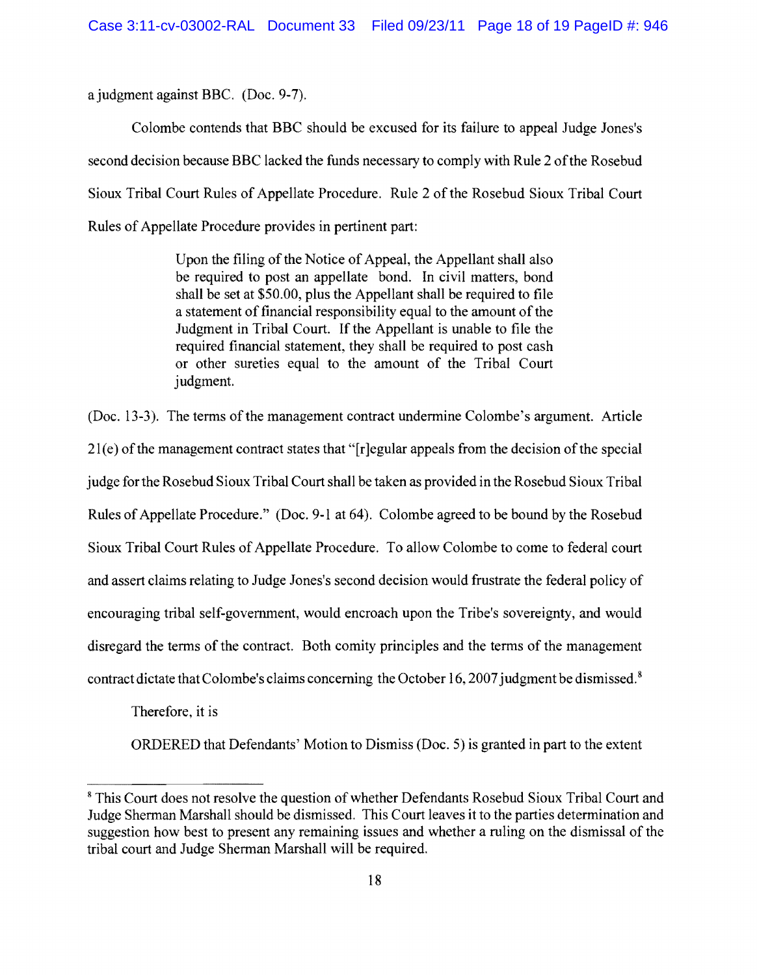a judgment against BBC. (Doc. 9-7).

Colombe contends that BBC should be excused for its failure to appeal Judge Jones's second decision because BBC lacked the funds necessary to comply with Rule 2 ofthe Rosebud Sioux Tribal Court Rules of Appellate Procedure. Rule 2 of the Rosebud Sioux Tribal Court Rules of Appellate Procedure provides in pertinent part:

> Upon the filing of the Notice of Appeal, the Appellant shall also be required to post an appellate bond. In civil matters, bond shall be set at \$50.00, plus the Appellant shall be required to file a statement of financial responsibility equal to the amount of the Judgment in Tribal Court. If the Appellant is unable to file the required financial statement, they shall be required to post cash or other sureties equal to the amount of the Tribal Court judgment.

 $(Doc. 13-3)$ . The terms of the management contract undermine Colombe's argument. Article  $21(e)$  of the management contract states that "[r]egular appeals from the decision of the special judge for the Rosebud Sioux Tribal Court shall be taken as provided in the Rosebud Sioux Tribal Rules of Appellate Procedure." (Doc. 9-1 at 64). Colombe agreed to be bound by the Rosebud Sioux Tribal Court Rules of Appellate Procedure. To allow Colombe to come to federal court and assert claims relating to Judge Jones's second decision would frustrate the federal policy of encouraging tribal self-government, would encroach upon the Tribe's sovereignty, and would disregard the terms of the contract. Both comity principles and the terms of the management contract dictate that Colombe's claims concerning the October 16, 2007 judgment be dismissed.<sup>8</sup>

Therefore, it is

ORDERED that Defendants' Motion to Dismiss (Doc. 5) is granted in part to the extent

<sup>&</sup>lt;sup>8</sup> This Court does not resolve the question of whether Defendants Rosebud Sioux Tribal Court and Judge Sherman Marshall should be dismissed. This Court leaves it to the parties determination and suggestion how best to present any remaining issues and whether a ruling on the dismissal of the tribal court and Judge Sherman Marshall will be required.